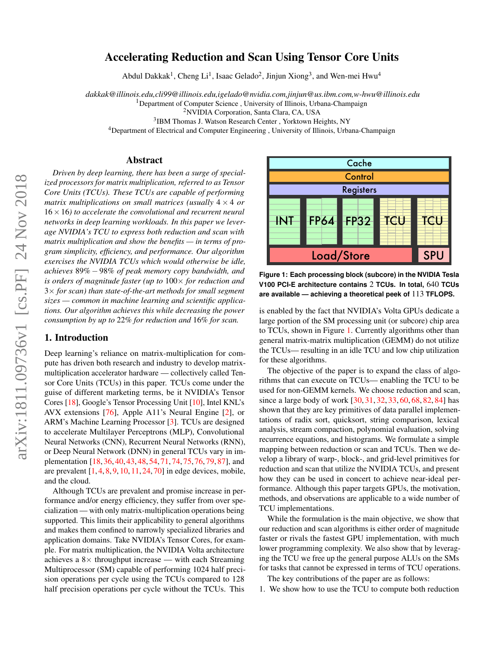# Accelerating Reduction and Scan Using Tensor Core Units

Abdul Dakkak<sup>1</sup>, Cheng Li<sup>1</sup>, Isaac Gelado<sup>2</sup>, Jinjun Xiong<sup>3</sup>, and Wen-mei Hwu<sup>4</sup>

*dakkak@illinois.edu,cli99@illinois.edu,igelado@nvidia.com,jinjun@us.ibm.com,w-hwu@illinois.edu*

<sup>1</sup>Department of Computer Science, University of Illinois, Urbana-Champaign

<sup>2</sup>NVIDIA Corporation, Santa Clara, CA, USA

3 IBM Thomas J. Watson Research Center , Yorktown Heights, NY

<sup>4</sup>Department of Electrical and Computer Engineering , University of Illinois, Urbana-Champaign

#### Abstract

*Driven by deep learning, there has been a surge of specialized processors for matrix multiplication, referred to as Tensor Core Units (TCUs). These TCUs are capable of performing matrix multiplications on small matrices (usually*  $4 \times 4$  *or* 16×16*) to accelerate the convolutional and recurrent neural networks in deep learning workloads. In this paper we leverage NVIDIA's TCU to express both reduction and scan with matrix multiplication and show the benefits — in terms of program simplicity, efficiency, and performance. Our algorithm exercises the NVIDIA TCUs which would otherwise be idle, achieves* 89% − 98% *of peak memory copy bandwidth, and is orders of magnitude faster (up to* 100× *for reduction and* 3× *for scan) than state-of-the-art methods for small segment sizes — common in machine learning and scientific applications. Our algorithm achieves this while decreasing the power consumption by up to* 22% *for reduction and* 16% *for scan.*

## 1. Introduction

Deep learning's reliance on matrix-multiplication for compute has driven both research and industry to develop matrixmultiplication accelerator hardware — collectively called Tensor Core Units (TCUs) in this paper. TCUs come under the guise of different marketing terms, be it NVIDIA's Tensor Cores [\[18\]](#page-11-0), Google's Tensor Processing Unit [\[10\]](#page-11-1), Intel KNL's AVX extensions [\[76\]](#page-12-0), Apple A11's Neural Engine [\[2\]](#page-11-2), or ARM's Machine Learning Processor [\[3\]](#page-11-3). TCUs are designed to accelerate Multilayer Perceptrons (MLP), Convolutional Neural Networks (CNN), Recurrent Neural Networks (RNN), or Deep Neural Network (DNN) in general TCUs vary in implementation [\[18,](#page-11-0) [36,](#page-11-4) [40,](#page-11-5) [43,](#page-11-6) [48,](#page-12-1) [54,](#page-12-2) [71,](#page-12-3) [74,](#page-12-4) [75,](#page-12-5) [76,](#page-12-0) [79,](#page-12-6) [87\]](#page-12-7), and are prevalent  $[1, 4, 8, 9, 10, 11, 24, 70]$  $[1, 4, 8, 9, 10, 11, 24, 70]$  $[1, 4, 8, 9, 10, 11, 24, 70]$  $[1, 4, 8, 9, 10, 11, 24, 70]$  $[1, 4, 8, 9, 10, 11, 24, 70]$  $[1, 4, 8, 9, 10, 11, 24, 70]$  $[1, 4, 8, 9, 10, 11, 24, 70]$  $[1, 4, 8, 9, 10, 11, 24, 70]$  $[1, 4, 8, 9, 10, 11, 24, 70]$  $[1, 4, 8, 9, 10, 11, 24, 70]$  $[1, 4, 8, 9, 10, 11, 24, 70]$  $[1, 4, 8, 9, 10, 11, 24, 70]$  $[1, 4, 8, 9, 10, 11, 24, 70]$  $[1, 4, 8, 9, 10, 11, 24, 70]$  $[1, 4, 8, 9, 10, 11, 24, 70]$  in edge devices, mobile, and the cloud. Example the scheme of the scheme of the scheme of the scheme of the scheme of the scheme of the scheme of the scheme of the scheme of the scheme of the scheme of the scheme of the scheme of the scheme of the scheme of the

Although TCUs are prevalent and promise increase in performance and/or energy efficiency, they suffer from over specialization — with only matrix-multiplication operations being supported. This limits their applicability to general algorithms and makes them confined to narrowly specialized libraries and application domains. Take NVIDIA's Tensor Cores, for example. For matrix multiplication, the NVIDIA Volta architecture achieves a  $8\times$  throughput increase — with each Streaming Multiprocessor (SM) capable of performing 1024 half precision operations per cycle using the TCUs compared to 128

<span id="page-0-0"></span>

**Figure 1: Each processing block (subcore) in the NVIDIA Tesla V100 PCI-E architecture contains** 2 **TCUs. In total,** 640 **TCUs are available — achieving a theoretical peek of** 113 **TFLOPS.**

is enabled by the fact that NVIDIA's Volta GPUs dedicate a large portion of the SM processing unit (or subcore) chip area to TCUs, shown in Figure [1.](#page-0-0) Currently algorithms other than general matrix-matrix multiplication (GEMM) do not utilize the TCUs— resulting in an idle TCU and low chip utilization for these algorithms.

The objective of the paper is to expand the class of algorithms that can execute on TCUs— enabling the TCU to be used for non-GEMM kernels. We choose reduction and scan, since a large body of work [\[30,](#page-11-13) [31,](#page-11-14) [32,](#page-11-15) [33,](#page-11-16) [60,](#page-12-9) [68,](#page-12-10) [82,](#page-12-11) [84\]](#page-12-12) has shown that they are key primitives of data parallel implementations of radix sort, quicksort, string comparison, lexical analysis, stream compaction, polynomial evaluation, solving recurrence equations, and histograms. We formulate a simple mapping between reduction or scan and TCUs. Then we develop a library of warp-, block-, and grid-level primitives for reduction and scan that utilize the NVIDIA TCUs, and present how they can be used in concert to achieve near-ideal performance. Although this paper targets GPUs, the motivation, methods, and observations are applicable to a wide number of TCU implementations.

While the formulation is the main objective, we show that our reduction and scan algorithms is either order of magnitude faster or rivals the fastest GPU implementation, with much lower programming complexity. We also show that by leveraging the TCU we free up the general purpose ALUs on the SMs for tasks that cannot be expressed in terms of TCU operations.

The key contributions of the paper are as follows:

1. We show how to use the TCU to compute both reduction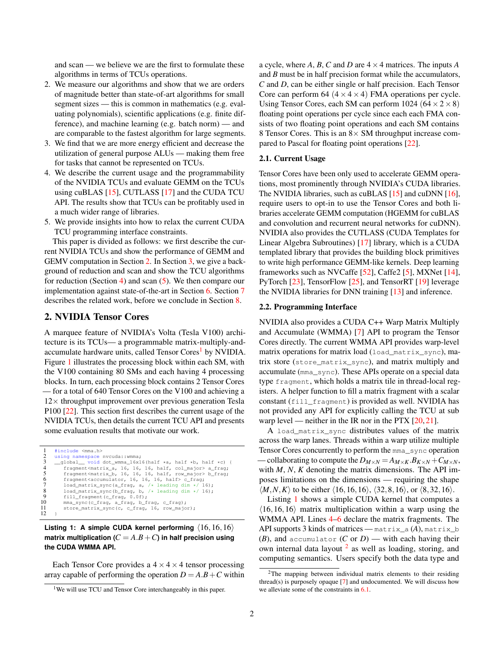and scan — we believe we are the first to formulate these algorithms in terms of TCUs operations.

- 2. We measure our algorithms and show that we are orders of magnitude better than state-of-art algorithms for small segment sizes — this is common in mathematics (e.g. evaluating polynomials), scientific applications (e.g. finite difference), and machine learning (e.g. batch norm) — and are comparable to the fastest algorithm for large segments.
- 3. We find that we are more energy efficient and decrease the utilization of general purpose ALUs — making them free for tasks that cannot be represented on TCUs.
- 4. We describe the current usage and the programmability of the NVIDIA TCUs and evaluate GEMM on the TCUs using cuBLAS [\[15\]](#page-11-17), CUTLASS [\[17\]](#page-11-18) and the CUDA TCU API. The results show that TCUs can be profitably used in a much wider range of libraries.
- 5. We provide insights into how to relax the current CUDA TCU programming interface constraints.

This paper is divided as follows: we first describe the current NVIDIA TCUs and show the performance of GEMM and GEMV computation in Section [2.](#page-1-0) In Section [3,](#page-3-0) we give a background of reduction and scan and show the TCU algorithms for reduction (Section [4\)](#page-3-1) and scan  $(5)$ . We then compare our implementation against state-of-the-art in Section [6.](#page-7-0) Section [7](#page-10-0) describes the related work, before we conclude in Section [8.](#page-10-1)

## <span id="page-1-0"></span>2. NVIDIA Tensor Cores

A marquee feature of NVIDIA's Volta (Tesla V100) architecture is its TCUs— a programmable matrix-multiply-and-accumulate hardware units, called Tensor Cores<sup>[1](#page-1-1)</sup> by NVIDIA. Figure [1](#page-0-0) illustrates the processing block within each SM, with the V100 containing 80 SMs and each having 4 processing blocks. In turn, each processing block contains 2 Tensor Cores — for a total of 640 Tensor Cores on the V100 and achieving a  $12\times$  throughput improvement over previous generation Tesla P100 [\[22\]](#page-11-19). This section first describes the current usage of the NVIDIA TCUs, then details the current TCU API and presents some evaluation results that motivate our work.

```
1 #include <mma.h>
 2 using namespace nvcuda::wmma;<br>3 __global__ void dot_wmma_16x1
 \frac{3}{4} __global____void dot_wmma_16x16(half *a, half *b, half *c) {
  4 fragment<matrix_a, 16, 16, 16, half, col_major> a_frag;
5 fragment<matrix_b, 16, 16, 16, half, row_major> b_frag;
6 fragment<accumulator, 16, 16, 16, half> c_frag;
  7 load_matrix_sync(a_frag, a, /* leading dim */ 16);
8 load_matrix_sync(b_frag, b, /* leading dim */ 16);
8 load_matrix_sync(b_frag, b,<br>9 fill_fragment(c_frag, 0.0f);<br>10 mma sync(c frag, a frag, b f
10 mma_sync(c_frag, a_frag, b_frag, c_frag);
11 store_matrix_sync(c, c_frag, 16, row_major);
12 }
```
## <span id="page-1-10"></span><span id="page-1-9"></span><span id="page-1-8"></span><span id="page-1-7"></span>Listing 1: A simple CUDA kernel performing  $\langle 16,16,16\rangle$ **matrix multiplication** ( $C = A.B + C$ ) in half precision using **the CUDA WMMA API.**

Each Tensor Core provides a  $4 \times 4 \times 4$  tensor processing array capable of performing the operation  $D = A.B + C$  within a cycle, where  $A$ ,  $B$ ,  $C$  and  $D$  are  $4 \times 4$  matrices. The inputs  $A$ and *B* must be in half precision format while the accumulators, *C* and *D*, can be either single or half precision. Each Tensor Core can perform 64  $(4 \times 4 \times 4)$  FMA operations per cycle. Using Tensor Cores, each SM can perform  $1024 (64 \times 2 \times 8)$ floating point operations per cycle since each each FMA consists of two floating point operations and each SM contains 8 Tensor Cores. This is an  $8 \times SM$  throughput increase compared to Pascal for floating point operations [\[22\]](#page-11-19).

## 2.1. Current Usage

Tensor Cores have been only used to accelerate GEMM operations, most prominently through NVIDIA's CUDA libraries. The NVIDIA libraries, such as cuBLAS [\[15\]](#page-11-17) and cuDNN [\[16\]](#page-11-20), require users to opt-in to use the Tensor Cores and both libraries accelerate GEMM computation (HGEMM for cuBLAS and convolution and recurrent neural networks for cuDNN). NVIDIA also provides the CUTLASS (CUDA Templates for Linear Algebra Subroutines) [\[17\]](#page-11-18) library, which is a CUDA templated library that provides the building block primitives to write high performance GEMM-like kernels. Deep learning frameworks such as NVCaffe [\[52\]](#page-12-13), Caffe2 [\[5\]](#page-11-21), MXNet [\[14\]](#page-11-22), PyTorch [\[23\]](#page-11-23), TensorFlow [\[25\]](#page-11-24), and TensorRT [\[19\]](#page-11-25) leverage the NVIDIA libraries for DNN training [\[13\]](#page-11-26) and inference.

### 2.2. Programming Interface

NVIDIA also provides a CUDA C++ Warp Matrix Multiply and Accumulate (WMMA) [\[7\]](#page-11-27) API to program the Tensor Cores directly. The current WMMA API provides warp-level matrix operations for matrix load (load\_matrix\_sync), matrix store (store\_matrix\_sync), and matrix multiply and accumulate (mma\_sync). These APIs operate on a special data type fragment, which holds a matrix tile in thread-local registers. A helper function to fill a matrix fragment with a scalar constant (fill\_fragment) is provided as well. NVIDIA has not provided any API for explicitly calling the TCU at sub warp level — neither in the IR nor in the PTX  $[20, 21]$  $[20, 21]$  $[20, 21]$ .

A load\_matrix\_sync distributes values of the matrix across the warp lanes. Threads within a warp utilize multiple Tensor Cores concurrently to perform the mma\_sync operation — collaborating to compute the  $D_{M \times N} = A_{M \times K} \cdot B_{K \times N} + C_{M \times N}$ , with *M*, *N*, *K* denoting the matrix dimensions. The API imposes limitations on the dimensions — requiring the shape  $\langle M, N, K \rangle$  to be either  $\langle 16, 16, 16 \rangle$ ,  $\langle 32, 8, 16 \rangle$ , or  $\langle 8, 32, 16 \rangle$ .

Listing [1](#page-1-2) shows a simple CUDA kernel that computes a  $\langle 16, 16, 16 \rangle$  matrix multiplication within a warp using the WMMA API. Lines  $4-6$  $4-6$  declare the matrix fragments. The API supports 3 kinds of matrices — matrix\_a (*A*), matrix\_b (*B*), and accumulator (*C* or  $D$ ) — with each having their own internal data layout <sup>[2](#page-1-5)</sup> as well as loading, storing, and computing semantics. Users specify both the data type and

<span id="page-1-1"></span><sup>&</sup>lt;sup>1</sup>We will use TCU and Tensor Core interchangeably in this paper.

<span id="page-1-5"></span><sup>2</sup>The mapping between individual matrix elements to their residing thread(s) is purposely opaque  $[7]$  and undocumented. We will discuss how we alleviate some of the constraints in [6.1.](#page-7-1)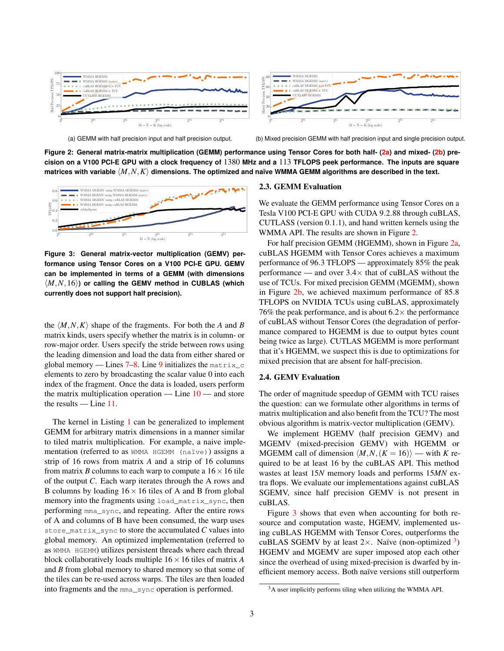<span id="page-2-2"></span><span id="page-2-0"></span>

(a) GEMM with half precision input and half precision output.

<span id="page-2-1"></span>(b) Mixed precision GEMM with half precision input and single precision output.

**Figure 2: General matrix-matrix multiplication (GEMM) performance using Tensor Cores for both half- [\(2a\)](#page-2-0) and mixed- [\(2b\)](#page-2-1) precision on a V100 PCI-E GPU with a clock frequency of** 1380 **MHz and a** 113 **TFLOPS peek performance. The inputs are square** matrices with variable  $\langle M,N,K\rangle$  dimensions. The optimized and naïve WMMA GEMM algorithms are described in the text.

<span id="page-2-3"></span>

**Figure 3: General matrix-vector multiplication (GEMV) performance using Tensor Cores on a V100 PCI-E GPU. GEMV can be implemented in terms of a GEMM (with dimensions**  $\langle M, N, 16 \rangle$  or calling the GEMV method in CUBLAS (which **currently does not support half precision).**

the  $\langle M, N, K \rangle$  shape of the fragments. For both the *A* and *B* matrix kinds, users specify whether the matrix is in column- or row-major order. Users specify the stride between rows using the leading dimension and load the data from either shared or global memory — Lines  $7-8$  $7-8$ . Line [9](#page-1-8) initializes the matrix\_c elements to zero by broadcasting the scalar value 0 into each index of the fragment. Once the data is loaded, users perform the matrix multiplication operation — Line  $10$  — and store the results — Line [11.](#page-1-10)

The kernel in Listing [1](#page-1-2) can be generalized to implement GEMM for arbitrary matrix dimensions in a manner similar to tiled matrix multiplication. For example, a naive implementation (referred to as WMMA HGEMM (naïve)) assigns a strip of 16 rows from matrix *A* and a strip of 16 columns from matrix *B* columns to each warp to compute a  $16 \times 16$  tile of the output *C*. Each warp iterates through the A rows and B columns by loading  $16 \times 16$  tiles of A and B from global memory into the fragments using load\_matrix\_sync, then performing mma\_sync, and repeating. After the entire rows of A and columns of B have been consumed, the warp uses store\_matrix\_sync to store the accumulated *C* values into global memory. An optimized implementation (referred to as WMMA HGEMM) utilizes persistent threads where each thread block collaboratively loads multiple 16×16 tiles of matrix *A* and *B* from global memory to shared memory so that some of the tiles can be re-used across warps. The tiles are then loaded into fragments and the mma\_sync operation is performed.

#### 2.3. GEMM Evaluation

We evaluate the GEMM performance using Tensor Cores on a Tesla V100 PCI-E GPU with CUDA 9.2.88 through cuBLAS, CUTLASS (version 0.1.1), and hand written kernels using the WMMA API. The results are shown in Figure [2.](#page-2-2)

For half precision GEMM (HGEMM), shown in Figure [2a,](#page-2-0) cuBLAS HGEMM with Tensor Cores achieves a maximum performance of 96.3 TFLOPS — approximately 85% the peak performance — and over  $3.4\times$  that of cuBLAS without the use of TCUs. For mixed precision GEMM (MGEMM), shown in Figure [2b,](#page-2-1) we achieved maximum performance of 85.8 TFLOPS on NVIDIA TCUs using cuBLAS, approximately 76% the peak performance, and is about  $6.2 \times$  the performance of cuBLAS without Tensor Cores (the degradation of performance compared to HGEMM is due to output bytes count being twice as large). CUTLAS MGEMM is more performant that it's HGEMM, we suspect this is due to optimizations for mixed precision that are absent for half-precision.

#### 2.4. GEMV Evaluation

The order of magnitude speedup of GEMM with TCU raises the question: can we formulate other algorithms in terms of matrix multiplication and also benefit from the TCU? The most obvious algorithm is matrix-vector multiplication (GEMV).

We implement HGEMV (half precision GEMV) and MGEMV (mixed-precision GEMV) with HGEMM or MGEMM call of dimension  $\langle M, N, (K = 16) \rangle$  — with *K* required to be at least 16 by the cuBLAS API. This method wastes at least 15*N* memory loads and performs 15*MN* extra flops. We evaluate our implementations against cuBLAS SGEMV, since half precision GEMV is not present in cuBLAS.

Figure [3](#page-2-3) shows that even when accounting for both resource and computation waste, HGEMV, implemented using cuBLAS HGEMM with Tensor Cores, outperforms the cuBLAS SGEMV by at least  $2 \times$ . Naïve (non-optimized  $3$ ) HGEMV and MGEMV are super imposed atop each other since the overhead of using mixed-precision is dwarfed by inefficient memory access. Both naïve versions still outperform

<span id="page-2-4"></span> $3A$  user implicitly performs tiling when utilizing the WMMA API.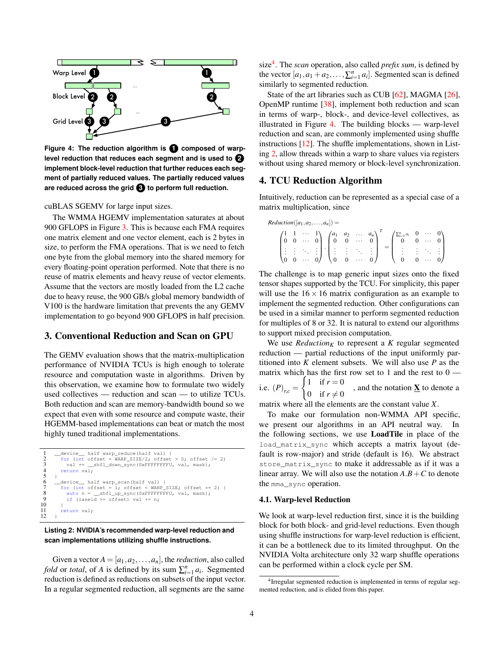<span id="page-3-3"></span>

Figure 4: The reduction algorithm is **1** composed of warp**level reduction that reduces each segment and is used to 2 implement block-level reduction that further reduces each segment of partially reduced values. The partially reduced values are reduced across the grid 3 to perform full reduction.**

## cuBLAS SGEMV for large input sizes.

The WMMA HGEMV implementation saturates at about 900 GFLOPS in Figure [3.](#page-2-3) This is because each FMA requires one matrix element and one vector element, each is 2 bytes in size, to perform the FMA operations. That is we need to fetch one byte from the global memory into the shared memory for every floating-point operation performed. Note that there is no reuse of matrix elements and heavy reuse of vector elements. Assume that the vectors are mostly loaded from the L2 cache due to heavy reuse, the 900 GB/s global memory bandwidth of V100 is the hardware limitation that prevents the any GEMV implementation to go beyond 900 GFLOPS in half precision.

## <span id="page-3-0"></span>3. Conventional Reduction and Scan on GPU

The GEMV evaluation shows that the matrix-multiplication performance of NVIDIA TCUs is high enough to tolerate resource and computation waste in algorithms. Driven by this observation, we examine how to formulate two widely used collectives — reduction and scan — to utilize TCUs. Both reduction and scan are memory-bandwidth bound so we expect that even with some resource and compute waste, their HGEMM-based implementations can beat or match the most highly tuned traditional implementations.

```
\frac{1}{2} -device half warp_reduce(half val) {<br>\frac{1}{2} for (int offset = WARP SIZE/2: offset
             for (int offset = WARP SIZE/2; offset > 0; offset /= 2)
                val += __shfl_down_sync(0xFFFFFFFFU, val, mask);
             return val;3456789
             device half warp scan(half val) {
  \begin{array}{ll} \text{7} & \text{for (int offset = 1; offset < WAR\_SIZE; offset <= 2) } \\ \text{8} & \text{auto n = \_sh1\_up\_sync(0xFFFFFF), val, mask)}; \\ \text{9} & \text{if (laneid >= offset) val += n}; \end{array}\frac{10}{11}\text{return } \text{val};12 }
```
#### **Listing 2: NVIDIA's recommended warp-level reduction and scan implementations utilizing shuffle instructions.**

Given a vector  $A = [a_1, a_2, \dots, a_n]$ , the *reduction*, also called *fold* or *total*, of *A* is defined by its sum  $\sum_{i=1}^{n} a_i$ . Segmented reduction is defined as reductions on subsets of the input vector. In a regular segmented reduction, all segments are the same

size[4](#page-3-2) . The *scan* operation, also called *prefix sum*, is defined by the vector  $[a_1, a_1 + a_2, \ldots, \sum_{i=1}^n a_i]$ . Segmented scan is defined similarly to segmented reduction.

State of the art libraries such as CUB [\[62\]](#page-12-14), MAGMA [\[26\]](#page-11-30), OpenMP runtime [\[38\]](#page-11-31), implement both reduction and scan in terms of warp-, block-, and device-level collectives, as illustrated in Figure [4.](#page-3-3) The building blocks — warp-level reduction and scan, are commonly implemented using shuffle instructions [\[12\]](#page-11-32). The shuffle implementations, shown in Listing [2,](#page-3-4) allow threads within a warp to share values via registers without using shared memory or block-level synchronization.

## <span id="page-3-1"></span>4. TCU Reduction Algorithm

Intuitively, reduction can be represented as a special case of a matrix multiplication, since

| $Reduction([a_1,a_2,\ldots,a_n]) =$ |  |  |  |                                                                                                                                                         |  |                                                                                                                                                                                                                                                     |  |  |
|-------------------------------------|--|--|--|---------------------------------------------------------------------------------------------------------------------------------------------------------|--|-----------------------------------------------------------------------------------------------------------------------------------------------------------------------------------------------------------------------------------------------------|--|--|
|                                     |  |  |  | $\begin{pmatrix} 1 & 1 & \cdots & 1 \\ 0 & 0 & \cdots & 0 \end{pmatrix} \begin{pmatrix} a_1 & a_2 & \ldots & a_n \\ 0 & 0 & \cdots & 0 \end{pmatrix}^T$ |  | $\left(\sum_{i=1}^n a_i\right)$                                                                                                                                                                                                                     |  |  |
|                                     |  |  |  |                                                                                                                                                         |  | $\begin{pmatrix} 1 & 1 & 1 & 1 \\ 1 & 1 & 1 & 1 \\ 0 & 0 & 0 & 0 \end{pmatrix} \cdot \begin{pmatrix} 1 & 1 & 1 & 1 \\ 1 & 1 & 1 & 1 \\ 0 & 0 & 0 & 0 \end{pmatrix} = \begin{pmatrix} 1 & 1 & 1 & 1 \\ 1 & 1 & 1 & 1 \\ 0 & 0 & 0 & 0 \end{pmatrix}$ |  |  |

The challenge is to map generic input sizes onto the fixed tensor shapes supported by the TCU. For simplicity, this paper will use the  $16 \times 16$  matrix configuration as an example to implement the segmented reduction. Other configurations can be used in a similar manner to perform segmented reduction for multiples of 8 or 32. It is natural to extend our algorithms to support mixed precision computation.

We use  $Reduction<sub>K</sub>$  to represent a  $K$  regular segmented reduction — partial reductions of the input uniformly partitioned into *K* element subsets. We will also use *P* as the matrix which has the first row set to 1 and the rest to  $0$ i.e.  $(P)_{r,c} =$  $\int 1$  if  $r = 0$ 0 if  $r \neq 0$ , and the notation  $\underline{\mathbf{X}}$  to denote a

matrix where all the elements are the constant value *X*.

To make our formulation non-WMMA API specific, we present our algorithms in an API neutral way. In the following sections, we use LoadTile in place of the load\_matrix\_sync which accepts a matrix layout (default is row-major) and stride (default is 16). We abstract store\_matrix\_sync to make it addressable as if it was a linear array. We will also use the notation  $A.B + C$  to denote the mma\_sync operation.

## 4.1. Warp-level Reduction

We look at warp-level reduction first, since it is the building block for both block- and grid-level reductions. Even though using shuffle instructions for warp-level reduction is efficient, it can be a bottleneck due to its limited throughput. On the NVIDIA Volta architecture only 32 warp shuffle operations can be performed within a clock cycle per SM.

<span id="page-3-2"></span><sup>&</sup>lt;sup>4</sup>Irregular segmented reduction is implemented in terms of regular segmented reduction, and is elided from this paper.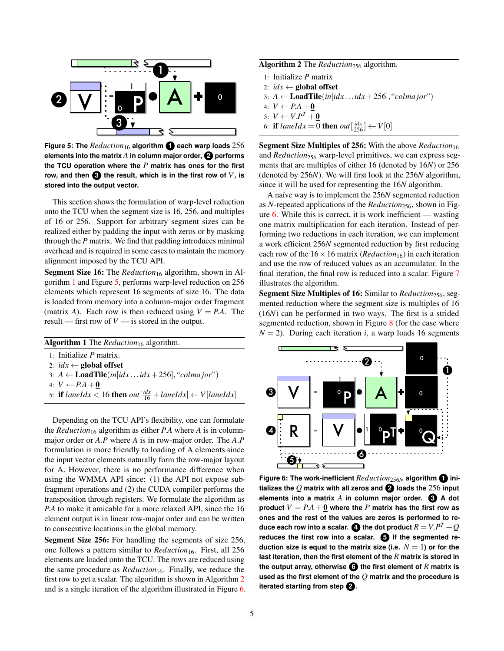<span id="page-4-1"></span>

**Figure 5: The** *Reduction*<sup>16</sup> **algorithm 1 each warp loads** 256 **elements into the matrix** *A* **in column major order, 2 performs the TCU operation where the** *P* **matrix has ones for the first row, and then**  $\bigodot$  **the result, which is in the first row of**  $V$ **, is stored into the output vector.**

This section shows the formulation of warp-level reduction onto the TCU when the segment size is 16, 256, and multiples of 16 or 256. Support for arbitrary segment sizes can be realized either by padding the input with zeros or by masking through the *P* matrix. We find that padding introduces minimal overhead and is required in some cases to maintain the memory alignment imposed by the TCU API.

**Segment Size 16:** The *Reduction*<sub>16</sub> algorithm, shown in Algorithm [1](#page-4-0) and Figure [5,](#page-4-1) performs warp-level reduction on 256 elements which represent 16 segments of size 16. The data is loaded from memory into a column-major order fragment (matrix *A*). Each row is then reduced using  $V = PA$ . The result — first row of *V* — is stored in the output.

<span id="page-4-0"></span>

| <b>Algorithm 1</b> The <i>Reduction</i> <sub>16</sub> algorithm.                                                    |
|---------------------------------------------------------------------------------------------------------------------|
| $1$ Initialize P matrix.                                                                                            |
| 2: $idx \leftarrow$ global offset                                                                                   |
| 3: $A \leftarrow \text{LoadTile}(in[idx \dots idx + 256], "colmajor")$                                              |
| 4: $V \leftarrow P.A + 0$                                                                                           |
| 5: if laneIdx < 16 then out $\left[\frac{idx}{16} + \text{laneldx}\right] \leftarrow V \left[\text{laneldx}\right]$ |
|                                                                                                                     |

Depending on the TCU API's flexibility, one can formulate the *Reduction*<sup>16</sup> algorithm as either *P.A* where *A* is in columnmajor order or *A*.*P* where *A* is in row-major order. The *A*.*P* formulation is more friendly to loading of A elements since the input vector elements naturally form the row-major layout for A. However, there is no performance difference when using the WMMA API since: (1) the API not expose subfragment operations and (2) the CUDA compiler performs the transposition through registers. We formulate the algorithm as *P*.*A* to make it amicable for a more relaxed API, since the 16 element output is in linear row-major order and can be written to consecutive locations in the global memory.

Segment Size 256: For handling the segments of size 256, one follows a pattern similar to *Reduction*<sub>16</sub>. First, all 256 elements are loaded onto the TCU. The rows are reduced using the same procedure as *Reduction*<sub>16</sub>. Finally, we reduce the first row to get a scalar. The algorithm is shown in Algorithm [2](#page-4-2) and is a single iteration of the algorithm illustrated in Figure [6.](#page-4-3) <span id="page-4-2"></span>Algorithm 2 The *Reduction*<sub>256</sub> algorithm.

- 1: Initialize *P* matrix
- 2:  $idx \leftarrow$  global offset
- 3:  $A \leftarrow \text{LoadTile}(in[idx \dots idx + 256], "column jor")$
- 4:  $V \leftarrow P.A + 0$
- 5:  $V \leftarrow V.P^T + \underline{0}$
- 6: **if** laneIdx = 0 **then**  $out[\frac{idx}{256}] \leftarrow V[0]$

Segment Size Multiples of 256: With the above *Reduction*<sup>16</sup> and *Reduction*<sub>256</sub> warp-level primitives, we can express segments that are multiples of either 16 (denoted by 16*N*) or 256 (denoted by 256*N*). We will first look at the 256*N* algorithm, since it will be used for representing the 16*N* algorithm.

A naïve way is to implement the 256*N* segmented reduction as *N*-repeated applications of the *Reduction*256, shown in Figure  $6$ . While this is correct, it is work inefficient — wasting one matrix multiplication for each iteration. Instead of performing two reductions in each iteration, we can implement a work efficient 256*N* segmented reduction by first reducing each row of the  $16 \times 16$  matrix (*Reduction*<sub>16</sub>) in each iteration and use the row of reduced values as an accumulator. In the final iteration, the final row is reduced into a scalar. Figure [7](#page-5-1) illustrates the algorithm.

Segment Size Multiples of 16: Similar to *Reduction*<sub>256</sub>, segmented reduction where the segment size is multiples of 16 (16*N*) can be performed in two ways. The first is a strided segmented reduction, shown in Figure [8](#page-5-2) (for the case where  $N = 2$ ). During each iteration *i*, a warp loads 16 segments

<span id="page-4-3"></span>

**Figure 6: The work-inefficient** *Reduction*256*<sup>N</sup>* **algorithm 1 initializes the** *Q* **matrix with all zeros and 2 loads the** 256 **input elements into a matrix** *A* **in column major order. 3 A dot product**  $V = PA + 0$  where the *P* matrix has the first row as **ones and the rest of the values are zeros is performed to re**duce each row into a scalar.  $\bullet$  the dot product  $R = V.P^T+Q$ **reduces the first row into a scalar. 5 If the segmented reduction size is equal to the matrix size (i.e.**  $N = 1$ ) or for the **last iteration, then the first element of the** *R* **matrix is stored in the output array, otherwise 6 the first element of** *R* **matrix is used as the first element of the** *Q* **matrix and the procedure is iterated starting from step <b>2**.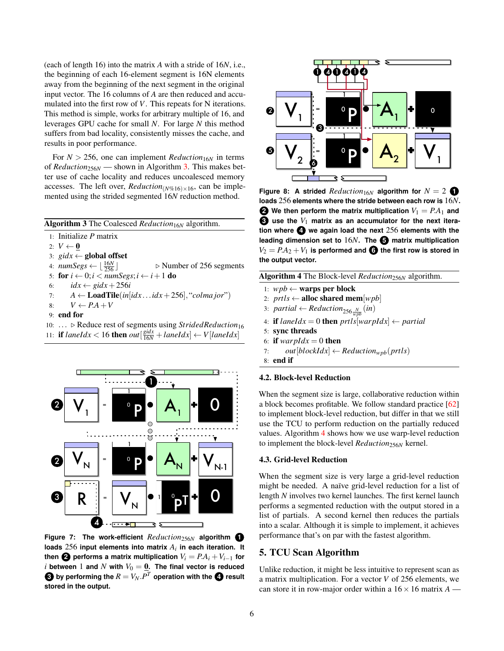(each of length 16) into the matrix *A* with a stride of 16*N*, i.e., the beginning of each 16-element segment is 16N elements away from the beginning of the next segment in the original input vector. The 16 columns of *A* are then reduced and accumulated into the first row of *V*. This repeats for N iterations. This method is simple, works for arbitrary multiple of 16, and leverages GPU cache for small *N*. For large *N* this method suffers from bad locality, consistently misses the cache, and results in poor performance.

For  $N > 256$ , one can implement *Reduction*<sub>16*N*</sub> in terms of *Reduction*256*<sup>N</sup>* — shown in Algorithm [3.](#page-5-3) This makes better use of cache locality and reduces uncoalesced memory accesses. The left over, *Reduction*( $N\%$ 16)×16, can be implemented using the strided segmented 16*N* reduction method.

<span id="page-5-3"></span>

| <b>Algorithm 3</b> The Coalesced Reduction <sub>16N</sub> algorithm. |  |
|----------------------------------------------------------------------|--|
|----------------------------------------------------------------------|--|

- 1: Initialize *P* matrix
- 2:  $V \leftarrow \mathbf{0}$
- 3:  $\text{g}idx \leftarrow \text{global offset}$

4:  $numSegs \leftarrow \left\lfloor \frac{16N}{256} \right\rfloor$  $\triangleright$  Number of 256 segments

- 5: for  $i \leftarrow 0; i < numSegs; i \leftarrow i+1$  do
- 6:  $idx \leftarrow \text{gidx} + 256i$
- 7:  $A \leftarrow \text{LoadTile}(in[idx \dots idx + 256], "column jor")$
- 8:  $V \leftarrow P.A + V$
- 9: end for
- 10: ... ⊳ Reduce rest of segments using *StridedReduction*<sup>16</sup>
- 11: **if**  $landx < 16$  **then**  $out[\frac{gidx}{16N} + landdx] \leftarrow V[landdx]$

<span id="page-5-1"></span>

**Figure 7: The work-efficient** *Reduction*256*<sup>N</sup>* **algorithm 1 loads** 256 **input elements into matrix** *A<sup>i</sup>* **in each iteration. It then 2** performs a matrix multiplication  $V_i = PA_i + V_{i-1}$  for *i* between 1 and *N* with  $V_0 = \underline{0}$ . The final vector is reduced  $\bullet$  by performing the  $R = V_N.P^T$  operation with the  $\bullet$  result **stored in the output.**

<span id="page-5-2"></span>

**Figure 8:** A strided *Reduction*<sub>16*N*</sub> algorithm for  $N = 2$  **0 loads** 256 **elements where the stride between each row is** 16*N***. 2** We then perform the matrix multiplication  $V_1 = PA_1$  and **3** use the  $V_1$  matrix as an accumulator for the next itera**tion where 4 we again load the next** 256 **elements with the leading dimension set to** 16*N***. The 5 matrix multiplication**  $V_2 = PA_2 + V_1$  is performed and  $\bigodot$  the first row is stored in **the output vector.**

<span id="page-5-4"></span>Algorithm 4 The Block-level *Reduction*256*<sup>N</sup>* algorithm.

- 1: *wpb* ← **warps per block**
- 2:  $prils \leftarrow$  alloc shared mem $[wpb]$
- 3:  $partial \leftarrow Reduction_{256\frac{N}{wpb}}(in)$
- 4: **if**  $landx = 0$  **then**  $prts[warpldx] \leftarrow partial$
- 5: sync threads
- 6: if  $warpldx = 0$  then
- 7: *out*[*blockIdx*]  $\leftarrow$  *Reduction*<sub>*wpb</sub>*(*prtls*)</sub>
- 8: end if

### 4.2. Block-level Reduction

When the segment size is large, collaborative reduction within a block becomes profitable. We follow standard practice [\[62\]](#page-12-14) to implement block-level reduction, but differ in that we still use the TCU to perform reduction on the partially reduced values. Algorithm [4](#page-5-4) shows how we use warp-level reduction to implement the block-level *Reduction*256*<sup>N</sup>* kernel.

### 4.3. Grid-level Reduction

When the segment size is very large a grid-level reduction might be needed. A naïve grid-level reduction for a list of length *N* involves two kernel launches. The first kernel launch performs a segmented reduction with the output stored in a list of partials. A second kernel then reduces the partials into a scalar. Although it is simple to implement, it achieves performance that's on par with the fastest algorithm.

## <span id="page-5-0"></span>5. TCU Scan Algorithm

Unlike reduction, it might be less intuitive to represent scan as a matrix multiplication. For a vector *V* of 256 elements, we can store it in row-major order within a  $16 \times 16$  matrix  $A$  —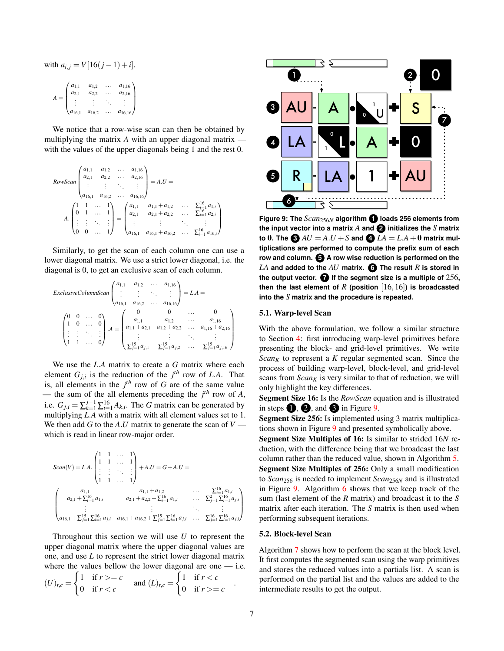with 
$$
a_{i,j} = V[16(j-1) + i]
$$
.  

$$
A = \begin{pmatrix} a_{1,1} & a_{1,2} & \cdots & a_{1,16} \\ a_{2,1} & a_{2,2} & \cdots & a_{2,16} \\ \vdots & \vdots & \ddots & \vdots \\ a_{16,1} & a_{16,2} & \cdots & a_{16,16} \end{pmatrix}
$$

We notice that a row-wise scan can then be obtained by multiplying the matrix *A* with an upper diagonal matrix with the values of the upper diagonals being 1 and the rest 0.

RowScan 
$$
\begin{pmatrix} a_{1,1} & a_{1,2} & \dots & a_{1,16} \\ a_{2,1} & a_{2,2} & \dots & a_{2,16} \\ \vdots & \vdots & \ddots & \vdots \\ a_{16,1} & a_{16,2} & \dots & a_{16,16} \end{pmatrix} = A.U =
$$
  

$$
A \cdot \begin{pmatrix} 1 & 1 & \dots & 1 \\ 0 & 1 & \dots & 1 \\ \vdots & \vdots & \ddots & \vdots \\ 0 & 0 & \dots & 1 \end{pmatrix} = \begin{pmatrix} a_{1,1} & a_{1,1} + a_{1,2} & \dots & \sum_{i=1}^{16} a_{1,i} \\ a_{2,1} & a_{2,1} + a_{2,2} & \dots & \sum_{i=1}^{16} a_{2,i} \\ \vdots & \vdots & \ddots & \vdots \\ a_{16,1} & a_{16,1} + a_{16,2} & \dots & \sum_{i=1}^{16} a_{16,i} \end{pmatrix}
$$

Similarly, to get the scan of each column one can use a lower diagonal matrix. We use a strict lower diagonal, i.e. the diagonal is 0, to get an exclusive scan of each column.

$$
Exclusive ColumnScan \begin{pmatrix} a_{1,1} & a_{1,2} & \dots & a_{1,16} \\ \vdots & \vdots & \ddots & \vdots \\ a_{16,1} & a_{16,2} & \dots & a_{16,16} \end{pmatrix} = LA = \begin{pmatrix} 0 & 0 & \dots & 0 \\ 1 & 0 & \dots & 0 \\ \vdots & \vdots & \ddots & \vdots \\ a_{1,1} + a_{2,1} & a_{1,2} + a_{2,2} & \dots & a_{1,16} + a_{2,16} \\ \vdots & \vdots & \ddots & \vdots \\ a_{1,1} + a_{2,1} & a_{1,2} + a_{2,2} & \dots & a_{1,16} + a_{2,16} \\ \vdots & \vdots & \ddots & \vdots \\ a_{1,2} + a_{2,1} & a_{2,2} & \dots & a_{2,26} + a_{2,26} \\ \vdots & \vdots & \ddots & \vdots \\ a_{2,3} + a_{2,1} & a_{2,2} & \dots & a_{2,36} + a_{2,36} \end{pmatrix}
$$

We use the *L*.*A* matrix to create a *G* matrix where each element  $G_{j,i}$  is the reduction of the  $j<sup>th</sup>$  row of *L.A*. That is, all elements in the  $j<sup>th</sup>$  row of *G* are of the same value — the sum of the all elements preceding the  $j<sup>th</sup>$  row of *A*, i.e.  $G_{j,i} = \sum_{k=1}^{j-1} \sum_{i=1}^{16} A_{k,i}$ . The *G* matrix can be generated by multiplying *L*.*A* with a matrix with all element values set to 1. We then add *G* to the *A*.*U* matrix to generate the scan of  $V$  which is read in linear row-major order.

$$
Scan(V) = LA.\begin{pmatrix} 1 & 1 & \dots & 1 \\ 1 & 1 & \dots & 1 \\ \vdots & \vdots & \ddots & \vdots \\ 1 & 1 & \dots & 1 \end{pmatrix} + A.U = G + A.U =
$$
  

$$
\begin{pmatrix} a_{1,1} & a_{1,1} + a_{1,2} & \dots & \sum_{i=1}^{16} a_{1,i} \\ a_{2,1} + \sum_{i=1}^{16} a_{1,i} & a_{2,1} + a_{2,2} + \sum_{i=1}^{16} a_{1,i} & \dots & \sum_{j=1}^{26} \sum_{i=1}^{16} a_{j,i} \\ \vdots & \vdots & \ddots & \vdots \\ a_{16,1} + \sum_{j=1}^{15} \sum_{i=1}^{16} a_{j,i} & a_{16,1} + a_{16,2} + \sum_{j=1}^{15} \sum_{i=1}^{16} a_{j,i} & \dots & \sum_{j=1}^{16} \sum_{i=1}^{16} a_{j,i} \end{pmatrix}
$$

Throughout this section we will use *U* to represent the upper diagonal matrix where the upper diagonal values are one, and use *L* to represent the strict lower diagonal matrix where the values bellow the lower diagonal are one  $-$  i.e.

$$
(U)_{r,c} = \begin{cases} 1 & \text{if } r >=c \\ 0 & \text{if } r =c \end{cases} \quad .
$$

<span id="page-6-0"></span>

**Figure 9: The** *Scan*256*<sup>N</sup>* **algorithm 1 loads 256 elements from the input vector into a matrix** *A* **and 2 initializes the** *S* **matrix**  $\bullet$  **0.** The  $\bullet$   $AU = A.U + S$  and  $\bullet$   $LA = LA + 0$  matrix mul**tiplications are performed to compute the prefix sum of each row and column. 5 A row wise reduction is performed on the** *LA* and added to the  $AU$  matrix.  $\bigodot$  The result  $R$  is stored in **the output vector. 7 If the segment size is a multiple of** 256**, then the last element of R (position**  $[16, 16]$ ) is broadcasted **into the** *S* **matrix and the procedure is repeated.**

#### 5.1. Warp-level Scan

With the above formulation, we follow a similar structure to Section [4:](#page-3-1) first introducing warp-level primitives before presenting the block- and grid-level primitives. We write *Scan<sub>K</sub>* to represent a *K* regular segmented scan. Since the process of building warp-level, block-level, and grid-level scans from  $Scan<sub>K</sub>$  is very similar to that of reduction, we will only highlight the key differences.

Segment Size 16: Is the *RowScan* equation and is illustrated in steps  $\bullet$ ,  $\bullet$ , and  $\bullet$  in Figure [9.](#page-6-0)

Segment Size 256: Is implemented using 3 matrix multiplications shown in Figure [9](#page-6-0) and presented symbolically above.

Segment Size Multiples of 16: Is similar to strided 16*N* reduction, with the difference being that we broadcast the last column rather than the reduced value, shown in Algorithm [5.](#page-7-2) Segment Size Multiples of 256: Only a small modification to *Scan*<sup>256</sup> is needed to implement *Scan*256*<sup>N</sup>* and is illustrated in Figure [9.](#page-6-0) Algorithm [6](#page-7-3) shows that we keep track of the sum (last element of the *R* matrix) and broadcast it to the *S* matrix after each iteration. The *S* matrix is then used when performing subsequent iterations.

#### 5.2. Block-level Scan

Algorithm [7](#page-7-4) shows how to perform the scan at the block level. It first computes the segmented scan using the warp primitives and stores the reduced values into a partials list. A scan is performed on the partial list and the values are added to the intermediate results to get the output.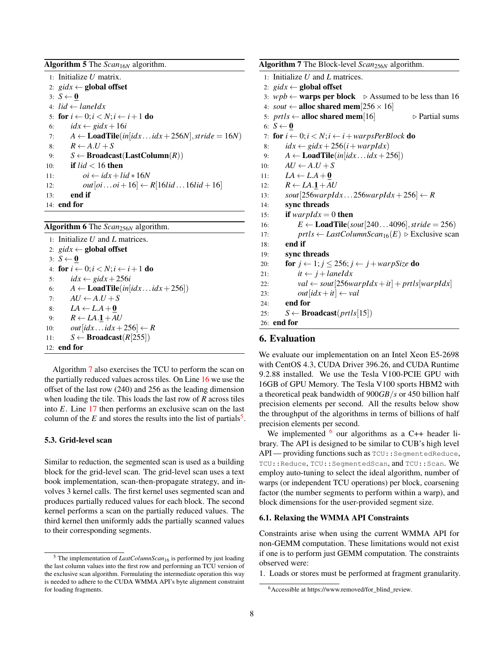<span id="page-7-2"></span>

| <b>Algorithm 5</b> The $Scan_{16N}$ algorithm.                                     |
|------------------------------------------------------------------------------------|
| 1: Initialize $U$ matrix.                                                          |
| 2: gidx $\leftarrow$ global offset                                                 |
| 3: $S \leftarrow \mathbf{0}$                                                       |
| 4: $lid \leftarrow \text{laneldx}$                                                 |
| 5: for $i \leftarrow 0$ : $i \leftarrow N$ : $i \leftarrow i+1$ do                 |
| $idx \leftarrow gidx + 16i$<br>6:                                                  |
| $A \leftarrow$ <b>Load Tile</b> ( $in[idx \dots idx + 256N]$ , stride = 16N)<br>7: |
| $R \leftarrow A.U + S$<br>8:                                                       |
| $S \leftarrow$ Broadcast(LastColumn(R))<br>9:                                      |
| if $lid < 16$ then<br>10:                                                          |
| $oi \leftarrow idx + lid * 16N$<br>11:                                             |
| out $[oioi+16] \leftarrow R[16lid16lid+16]$<br>12:                                 |
| end if<br>13:                                                                      |
| $14:$ end for                                                                      |

<span id="page-7-3"></span>Algorithm 6 The *Scan*256*<sup>N</sup>* algorithm.

1: Initialize *U* and *L* matrices. 2:  $\text{gidx} \leftarrow \text{global offset}$ 3:  $S \leftarrow \mathbf{0}$ 4: for  $i \leftarrow 0; i < N; i \leftarrow i + 1$  do 5:  $idx \leftarrow \text{gidx} + 256i$ 6:  $A \leftarrow \textbf{LoadTile}(in[idx \dots idx + 256])$ 7:  $AU \leftarrow A.U + S$ 8:  $LA \leftarrow L.A + 0$ 9:  $R \leftarrow LA \cdot 1 + AU$ 10:  $out[idx...idx+256] \leftarrow R$ 11:  $S \leftarrow \text{Broadcast}(R[255])$ 12: end for

Algorithm [7](#page-7-4) also exercises the TCU to perform the scan on the partially reduced values across tiles. On Line [16](#page-7-4) we use the offset of the last row (240) and 256 as the leading dimension when loading the tile. This loads the last row of *R* across tiles into *E*. Line [17](#page-7-4) then performs an exclusive scan on the last column of the  $E$  and stores the results into the list of partials<sup>[5](#page-7-5)</sup>.

## <span id="page-7-7"></span>5.3. Grid-level scan

Similar to reduction, the segmented scan is used as a building block for the grid-level scan. The grid-level scan uses a text book implementation, scan-then-propagate strategy, and involves 3 kernel calls. The first kernel uses segmented scan and produces partially reduced values for each block. The second kernel performs a scan on the partially reduced values. The third kernel then uniformly adds the partially scanned values to their corresponding segments.

<span id="page-7-4"></span>

| Algorithm 7 The Block-level Scan <sub>256N</sub> algorithm.                                       |
|---------------------------------------------------------------------------------------------------|
| 1: Initialize $U$ and $L$ matrices.                                                               |
| 2: $\text{gidx} \leftarrow \text{global offset}$                                                  |
| 3: $wpb \leftarrow$ warps per block $\triangleright$ Assumed to be less than 16                   |
| 4: sout $\leftarrow$ alloc shared mem[256 $\times$ 16]                                            |
| 5: $prils \leftarrow$ alloc shared mem[16]<br>$\triangleright$ Partial sums                       |
| 6: $S \leftarrow \mathbf{0}$                                                                      |
| 7: for $i \leftarrow 0; i \leftarrow N; i \leftarrow i + warpsPerBlock$ do                        |
| $idx \leftarrow gidx + 256(i + warpldx)$<br>8:                                                    |
| $A \leftarrow$ <b>Load Tile</b> ( <i>in</i> [ <i>idx idx</i> + 256])<br>9:                        |
| $AU \leftarrow A.U + S$<br>10:                                                                    |
| 11: $LA \leftarrow L.A + 0$                                                                       |
| 12: $R \leftarrow LA.1 + AU$                                                                      |
| sout $[256warpldx256warpldx+256] \leftarrow R$<br>13:                                             |
| sync threads<br>14:                                                                               |
| if warpIdx = 0 then<br>15:                                                                        |
| $E \leftarrow$ <b>LoadTile</b> (sout[2404096], stride = 256)<br>16:                               |
| $prts \leftarrow LastColumnScan_{16}(E) \triangleright Exclusive scan$<br>17:                     |
| end if<br>18:                                                                                     |
| sync threads<br>19:                                                                               |
| <b>for</b> $j \leftarrow 1; j \leq 256; j \leftarrow j + \text{warpSize}$ <b>do</b><br>20:        |
| $it \leftarrow j + \text{land } x$<br>21:                                                         |
| $val \leftarrow \textit{sout}[256\text{war} \textit{pldx} + it] + \textit{prtls}[warpldx]$<br>22: |
| $out[idx + it] \leftarrow val$<br>23:                                                             |
| end for<br>24:                                                                                    |
| $S \leftarrow$ Broadcast( <i>prtls</i> [15])<br>25:                                               |
| $26:$ end for                                                                                     |

## <span id="page-7-0"></span>6. Evaluation

We evaluate our implementation on an Intel Xeon E5-2698 with CentOS 4.3, CUDA Driver 396.26, and CUDA Runtime 9.2.88 installed. We use the Tesla V100-PCIE GPU with 16GB of GPU Memory. The Tesla V100 sports HBM2 with a theoretical peak bandwidth of 900*GB*/*s* or 450 billion half precision elements per second. All the results below show the throughput of the algorithms in terms of billions of half precision elements per second.

We implemented  $6$  our algorithms as a C++ header library. The API is designed to be similar to CUB's high level API — providing functions such as  $TCU$ : : SegmentedReduce, TCU::Reduce, TCU::SegmentedScan, and TCU::Scan. We employ auto-tuning to select the ideal algorithm, number of warps (or independent TCU operations) per block, coarsening factor (the number segments to perform within a warp), and block dimensions for the user-provided segment size.

#### <span id="page-7-1"></span>6.1. Relaxing the WMMA API Constraints

Constraints arise when using the current WMMA API for non-GEMM computation. These limitations would not exist if one is to perform just GEMM computation. The constraints observed were:

1. Loads or stores must be performed at fragment granularity.

<span id="page-7-5"></span><sup>5</sup> The implementation of *LastColumnScan*<sup>16</sup> is performed by just loading the last column values into the first row and performing an TCU version of the exclusive scan algorithm. Formulating the intermediate operation this way is needed to adhere to the CUDA WMMA API's byte alignment constraint for loading fragments.

<span id="page-7-6"></span><sup>6</sup>Accessible at https://www.removed/for\_blind\_review.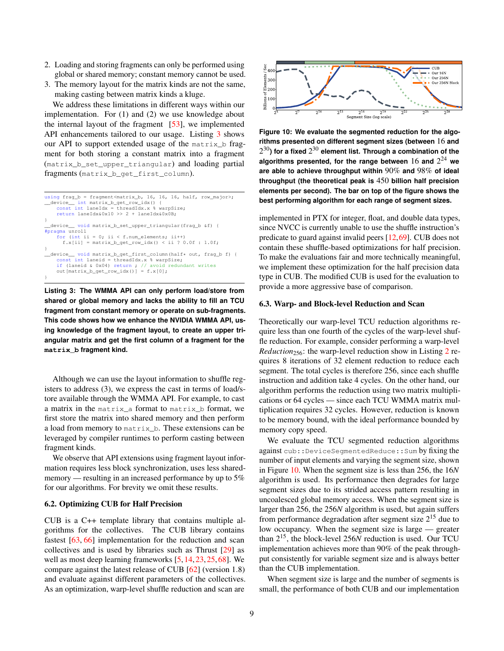- 2. Loading and storing fragments can only be performed using global or shared memory; constant memory cannot be used.
- 3. The memory layout for the matrix kinds are not the same, making casting between matrix kinds a kluge.

We address these limitations in different ways within our implementation. For (1) and (2) we use knowledge about the internal layout of the fragment  $[53]$ , we implemented API enhancements tailored to our usage. Listing [3](#page-8-0) shows our API to support extended usage of the matrix\_b fragment for both storing a constant matrix into a fragment (matrix\_b\_set\_upper\_triangular) and loading partial fragments (matrix\_b\_get\_first\_column).

```
using frag_b = fragment<matrix_b, 16, 16, 16, half, row_major>;
__device__ int matrix_b_get_row_idx() {
const int laneIdx = threadIdx.x % warpSize;
    return laneIdx&0x10 >> 2 + laneIdx&0x0B;
}
  __device__ void matrix_b_set_upper_triangular(frag_b &f) {
#pragma unroll
    for (int ii = 0; ii < f.num_elements; ii++)
       f.x[ii] = matrix_b.get-row_idx() \leq ii ? 0.0f : 1.0f;}
 __device__ void matrix_b_get_first_column(half* out, frag_b f) {
     const int laneid = threadIdx.x % warpSize;
if (laneid & 0x04) return ; // avoid redundant writes
    out[\text{matrix_b.get-row}_idx()] = f.x[0];}
```
**Listing 3: The WMMA API can only perform load/store from shared or global memory and lacks the ability to fill an TCU fragment from constant memory or operate on sub-fragments. This code shows how we enhance the NVIDIA WMMA API, using knowledge of the fragment layout, to create an upper triangular matrix and get the first column of a fragment for the matrix\_b fragment kind.**

Although we can use the layout information to shuffle registers to address (3), we express the cast in terms of load/store available through the WMMA API. For example, to cast a matrix in the matrix\_a format to matrix\_b format, we first store the matrix into shared memory and then perform a load from memory to matrix\_b. These extensions can be leveraged by compiler runtimes to perform casting between fragment kinds.

We observe that API extensions using fragment layout information requires less block synchronization, uses less sharedmemory — resulting in an increased performance by up to 5% for our algorithms. For brevity we omit these results.

## 6.2. Optimizing CUB for Half Precision

CUB is a C++ template library that contains multiple algorithms for the collectives. The CUB library contains fastest [\[63,](#page-12-16) [66\]](#page-12-17) implementation for the reduction and scan collectives and is used by libraries such as Thrust [\[29\]](#page-11-33) as well as most deep learning frameworks [\[5,](#page-11-21) [14,](#page-11-22) [23,](#page-11-23) [25,](#page-11-24) [68\]](#page-12-10). We compare against the latest release of CUB [\[62\]](#page-12-14) (version 1.8) and evaluate against different parameters of the collectives. As an optimization, warp-level shuffle reduction and scan are

<span id="page-8-1"></span>

**Figure 10: We evaluate the segmented reduction for the algorithms presented on different segment sizes (between** 16 **and**  $2^{30}$ ) for a fixed  $2^{30}$  element list. Through a combination of the **algorithms presented, for the range between** 16 **and** 2 <sup>24</sup> **we are able to achieve throughput within** 90% **and** 98% **of ideal throughput (the theoretical peak is** 450 **billion half precision elements per second). The bar on top of the figure shows the best performing algorithm for each range of segment sizes.**

implemented in PTX for integer, float, and double data types, since NVCC is currently unable to use the shuffle instruction's predicate to guard against invalid peers [\[12,](#page-11-32)[69\]](#page-12-18). CUB does not contain these shuffle-based optimizations for half precision. To make the evaluations fair and more technically meaningful, we implement these optimization for the half precision data type in CUB. The modified CUB is used for the evaluation to provide a more aggressive base of comparison.

#### 6.3. Warp- and Block-level Reduction and Scan

Theoretically our warp-level TCU reduction algorithms require less than one fourth of the cycles of the warp-level shuffle reduction. For example, consider performing a warp-level *Reduction*<sub>[2](#page-3-4)56</sub>: the warp-level reduction show in Listing 2 requires 8 iterations of 32 element reduction to reduce each segment. The total cycles is therefore 256, since each shuffle instruction and addition take 4 cycles. On the other hand, our algorithm performs the reduction using two matrix multiplications or 64 cycles — since each TCU WMMA matrix multiplication requires 32 cycles. However, reduction is known to be memory bound, with the ideal performance bounded by memory copy speed.

We evaluate the TCU segmented reduction algorithms against cub::DeviceSegmentedReduce::Sum by fixing the number of input elements and varying the segment size, shown in Figure [10.](#page-8-1) When the segment size is less than 256, the 16*N* algorithm is used. Its performance then degrades for large segment sizes due to its strided access pattern resulting in uncoalesced global memory access. When the segment size is larger than 256, the 256*N* algorithm is used, but again suffers from performance degradation after segment size 2<sup>15</sup> due to low occupancy. When the segment size is large — greater than 2 <sup>15</sup>, the block-level 256*N* reduction is used. Our TCU implementation achieves more than 90% of the peak throughput consistently for variable segment size and is always better than the CUB implementation.

When segment size is large and the number of segments is small, the performance of both CUB and our implementation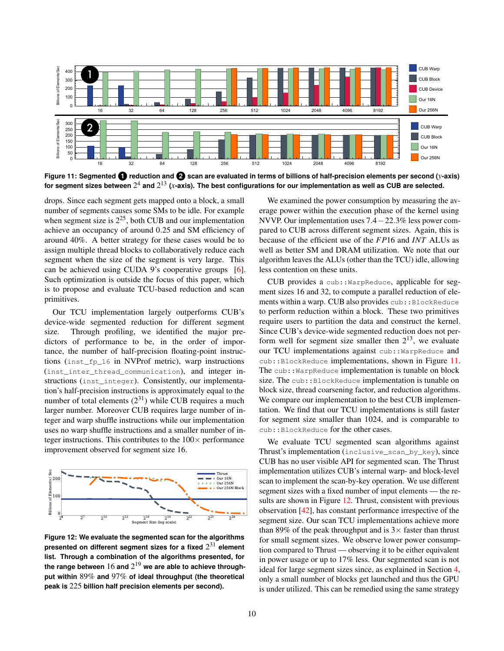<span id="page-9-0"></span>

**Figure 11: Segmented 1 reduction and 2 scan are evaluated in terms of billions of half-precision elements per second (***y***-axis)** for segment sizes between  $2^4$  and  $2^{13}$  (*x*-axis). The best configurations for our implementation as well as CUB are selected.

drops. Since each segment gets mapped onto a block, a small number of segments causes some SMs to be idle. For example when segment size is  $2^{25}$ , both CUB and our implementation achieve an occupancy of around 0.25 and SM efficiency of around 40%. A better strategy for these cases would be to assign multiple thread blocks to collaboratively reduce each segment when the size of the segment is very large. This can be achieved using CUDA 9's cooperative groups [\[6\]](#page-11-34). Such optimization is outside the focus of this paper, which is to propose and evaluate TCU-based reduction and scan primitives.

Our TCU implementation largely outperforms CUB's device-wide segmented reduction for different segment size. Through profiling, we identified the major predictors of performance to be, in the order of importance, the number of half-precision floating-point instructions (inst\_fp\_16 in NVProf metric), warp instructions (inst\_inter\_thread\_communication), and integer instructions (inst\_integer). Consistently, our implementation's half-precision instructions is approximately equal to the number of total elements  $(2^{31})$  while CUB requires a much larger number. Moreover CUB requires large number of integer and warp shuffle instructions while our implementation uses no warp shuffle instructions and a smaller number of integer instructions. This contributes to the  $100\times$  performance improvement observed for segment size 16.

<span id="page-9-1"></span>

**Figure 12: We evaluate the segmented scan for the algorithms presented on different segment sizes for a fixed** 2 <sup>31</sup> **element list. Through a combination of the algorithms presented, for the range between** 16 **and** 2 <sup>19</sup> **we are able to achieve throughput within** 89% **and** 97% **of ideal throughput (the theoretical peak is** 225 **billion half precision elements per second).**

We examined the power consumption by measuring the average power within the execution phase of the kernel using NVVP. Our implementation uses 7.4−22.3% less power compared to CUB across different segment sizes. Again, this is because of the efficient use of the *FP*16 and *INT* ALUs as well as better SM and DRAM utilization. We note that our algorithm leaves the ALUs (other than the TCU) idle, allowing less contention on these units.

CUB provides a cub::WarpReduce, applicable for segment sizes 16 and 32, to compute a parallel reduction of elements within a warp. CUB also provides cub:: BlockReduce to perform reduction within a block. These two primitives require users to partition the data and construct the kernel. Since CUB's device-wide segmented reduction does not perform well for segment size smaller then  $2^{13}$ , we evaluate our TCU implementations against cub:: WarpReduce and cub::BlockReduce implementations, shown in Figure [11.](#page-9-0) The cub:: WarpReduce implementation is tunable on block size. The cub:: BlockReduce implementation is tunable on block size, thread coarsening factor, and reduction algorithms. We compare our implementation to the best CUB implementation. We find that our TCU implementations is still faster for segment size smaller than 1024, and is comparable to cub::BlockReduce for the other cases.

We evaluate TCU segmented scan algorithms against Thrust's implementation (inclusive\_scan\_by\_key), since CUB has no user visible API for segmented scan. The Thrust implementation utilizes CUB's internal warp- and block-level scan to implement the scan-by-key operation. We use different segment sizes with a fixed number of input elements — the results are shown in Figure [12.](#page-9-1) Thrust, consistent with previous observation [\[42\]](#page-11-35), has constant performance irrespective of the segment size. Our scan TCU implementations achieve more than 89% of the peak throughput and is  $3\times$  faster than thrust for small segment sizes. We observe lower power consumption compared to Thrust — observing it to be either equivalent in power usage or up to 17% less. Our segmented scan is not ideal for large segment sizes since, as explained in Section [4,](#page-3-1) only a small number of blocks get launched and thus the GPU is under utilized. This can be remedied using the same strategy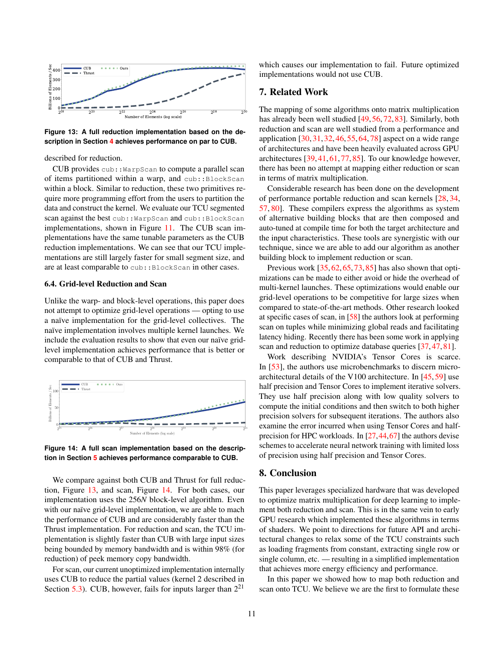<span id="page-10-2"></span>

**Figure 13: A full reduction implementation based on the description in Section [4](#page-3-1) achieves performance on par to CUB.**

described for reduction.

CUB provides cub:: WarpScan to compute a parallel scan of items partitioned within a warp, and cub::BlockScan within a block. Similar to reduction, these two primitives require more programming effort from the users to partition the data and construct the kernel. We evaluate our TCU segmented scan against the best cub:: WarpScan and cub:: BlockScan implementations, shown in Figure [11.](#page-9-0) The CUB scan implementations have the same tunable parameters as the CUB reduction implementations. We can see that our TCU implementations are still largely faster for small segment size, and are at least comparable to cub:: BlockScan in other cases.

### 6.4. Grid-level Reduction and Scan

Unlike the warp- and block-level operations, this paper does not attempt to optimize grid-level operations — opting to use a naïve implementation for the grid-level collectives. The naïve implementation involves multiple kernel launches. We include the evaluation results to show that even our naïve gridlevel implementation achieves performance that is better or comparable to that of CUB and Thrust.

<span id="page-10-3"></span>

**Figure 14: A full scan implementation based on the description in Section [5](#page-5-0) achieves performance comparable to CUB.**

We compare against both CUB and Thrust for full reduction, Figure [13,](#page-10-2) and scan, Figure [14.](#page-10-3) For both cases, our implementation uses the 256*N* block-level algorithm. Even with our naïve grid-level implementation, we are able to mach the performance of CUB and are considerably faster than the Thrust implementation. For reduction and scan, the TCU implementation is slightly faster than CUB with large input sizes being bounded by memory bandwidth and is within 98% (for reduction) of peek memory copy bandwidth.

For scan, our current unoptimized implementation internally uses CUB to reduce the partial values (kernel 2 described in Section [5.3\)](#page-7-7). CUB, however, fails for inputs larger than  $2^{21}$ 

which causes our implementation to fail. Future optimized implementations would not use CUB.

## <span id="page-10-0"></span>7. Related Work

The mapping of some algorithms onto matrix multiplication has already been well studied [\[49,](#page-12-19) [56,](#page-12-20) [72,](#page-12-21) [83\]](#page-12-22). Similarly, both reduction and scan are well studied from a performance and application [\[30,](#page-11-13) [31,](#page-11-14) [32,](#page-11-15) [46,](#page-12-23) [55,](#page-12-24) [64,](#page-12-25) [78\]](#page-12-26) aspect on a wide range of architectures and have been heavily evaluated across GPU architectures [\[39,](#page-11-36)[41,](#page-11-37) [61,](#page-12-27) [77,](#page-12-28) [85\]](#page-12-29). To our knowledge however, there has been no attempt at mapping either reduction or scan in terms of matrix multiplication.

Considerable research has been done on the development of performance portable reduction and scan kernels [\[28,](#page-11-38) [34,](#page-11-39) [57,](#page-12-30) [80\]](#page-12-31). These compilers express the algorithms as system of alternative building blocks that are then composed and auto-tuned at compile time for both the target architecture and the input characteristics. These tools are synergistic with our technique, since we are able to add our algorithm as another building block to implement reduction or scan.

Previous work [\[35,](#page-11-40) [62,](#page-12-14) [65,](#page-12-32) [73,](#page-12-33) [85\]](#page-12-29) has also shown that optimizations can be made to either avoid or hide the overhead of multi-kernel launches. These optimizations would enable our grid-level operations to be competitive for large sizes when compared to state-of-the-art methods. Other research looked at specific cases of scan, in [\[58\]](#page-12-34) the authors look at performing scan on tuples while minimizing global reads and facilitating latency hiding. Recently there has been some work in applying scan and reduction to optimize database queries [\[37,](#page-11-41) [47,](#page-12-35) [81\]](#page-12-36).

Work describing NVIDIA's Tensor Cores is scarce. In [\[53\]](#page-12-15), the authors use microbenchmarks to discern microarchitectural details of the V100 architecture. In [\[45,](#page-11-42) [59\]](#page-12-37) use half precision and Tensor Cores to implement iterative solvers. They use half precision along with low quality solvers to compute the initial conditions and then switch to both higher precision solvers for subsequent iterations. The authors also examine the error incurred when using Tensor Cores and halfprecision for HPC workloads. In [\[27,](#page-11-43)[44,](#page-11-44)[67\]](#page-12-38) the authors devise schemes to accelerate neural network training with limited loss of precision using half precision and Tensor Cores.

### <span id="page-10-1"></span>8. Conclusion

This paper leverages specialized hardware that was developed to optimize matrix multiplication for deep learning to implement both reduction and scan. This is in the same vein to early GPU research which implemented these algorithms in terms of shaders. We point to directions for future API and architectural changes to relax some of the TCU constraints such as loading fragments from constant, extracting single row or single column, etc. — resulting in a simplified implementation that achieves more energy efficiency and performance.

In this paper we showed how to map both reduction and scan onto TCU. We believe we are the first to formulate these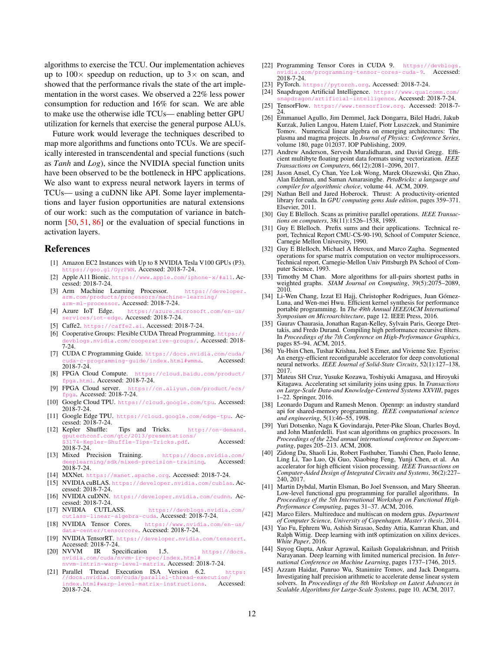algorithms to exercise the TCU. Our implementation achieves up to  $100 \times$  speedup on reduction, up to  $3 \times$  on scan, and showed that the performance rivals the state of the art implementation in the worst cases. We observed a 22% less power consumption for reduction and 16% for scan. We are able to make use the otherwise idle TCUs— enabling better GPU utilization for kernels that exercise the general purpose ALUs.

Future work would leverage the techniques described to map more algorithms and functions onto TCUs. We are specifically interested in transcendental and special functions (such as *Tanh* and *Log*), since the NVIDIA special function units have been observed to be the bottleneck in HPC applications. We also want to express neural network layers in terms of TCUs— using a cuDNN like API. Some layer implementations and layer fusion opportunities are natural extensions of our work: such as the computation of variance in batchnorm [\[50,](#page-12-39) [51,](#page-12-40) [86\]](#page-12-41) or the evaluation of special functions in activation layers.

## References

- <span id="page-11-7"></span>[1] Amazon EC2 Instances with Up to 8 NVIDIA Tesla V100 GPUs (P3). <https://goo.gl/GyrFWN>. Accessed: 2018-7-24.
- <span id="page-11-2"></span>[2] Apple A11 Bionic. <https://www.apple.com/iphone-x/#a11>. Accessed: 2018-7-24.
- <span id="page-11-3"></span>[3] Arm Machine Learning Processor. [https://developer.](https://developer.arm.com/products/processors/machine-learning/arm-ml-processor)<br>arm.com/products/processors/machine-learning/ arm.com/products/processors/mac [arm-ml-processor](https://developer.arm.com/products/processors/machine-learning/arm-ml-processor). Accessed: 2018-7-24.
- <span id="page-11-8"></span>[4] Azure IoT Edge. [https://azure.microsoft.com/en-us/](https://azure.microsoft.com/en-us/services/iot-edge) [services/iot-edge](https://azure.microsoft.com/en-us/services/iot-edge). Accessed: 2018-7-24.
- <span id="page-11-21"></span>[5] Caffe2. <https://caffe2.ai>. Accessed: 2018-7-24.
- <span id="page-11-34"></span>[6] Cooperative Groups: Flexible CUDA Thread Programming. htt [devblogs.nvidia.com/cooperative-groups/](https://devblogs.nvidia.com/cooperative-groups/). Accessed: 2018- 7-24.
- <span id="page-11-27"></span>[7] CUDA C Programming Guide. [https://docs.nvidia.com/cuda/](https://docs.nvidia.com/cuda/cuda-c-programming-guide/index.html#wmma) programming-guide/index.html#wmma. Accessed: 2018-7-24.<br>FPGA Cloud Compute.
- <span id="page-11-9"></span>[8] FPGA Cloud Compute. [https://cloud.baidu.com/product/](https://cloud.baidu.com/product/fpga.html) [fpga.html](https://cloud.baidu.com/product/fpga.html). Accessed: 2018-7-24.
- <span id="page-11-10"></span>[9] FPGA Cloud server. [https://cn.aliyun.com/product/ecs/](https://cn.aliyun.com/product/ecs/fpga) [fpga](https://cn.aliyun.com/product/ecs/fpga). Accessed: 2018-7-24.
- <span id="page-11-1"></span>[10] Google Cloud TPU. <https://cloud.google.com/tpu>. Accessed: 2018-7-24.
- <span id="page-11-11"></span>[11] Google Edge TPU. <https://cloud.google.com/edge-tpu>. Accessed: 2018-7-24.<br>[12] Kepler Shuffle:
- <span id="page-11-32"></span>Tips and Tricks. [http://on-demand.](http://on-demand.gputechconf.com/gtc/2013/presentations/S3174-Kepler-Shuffle-Tips-Tricks.pdf) [gputechconf.com/gtc/2013/presentations/](http://on-demand.gputechconf.com/gtc/2013/presentations/S3174-Kepler-Shuffle-Tips-Tricks.pdf) .74-Kepler-Shuffle-Tips-Tricks.pdf. Accessed: 2018-7-24.
- <span id="page-11-26"></span>[13] Mixed Precision Training. [https://docs.nvidia.com/](https://docs.nvidia.com/deeplearning/sdk/mixed-precision-training)  $rning/sdk/mixed-precision-training.$ 2018-7-24.
- <span id="page-11-22"></span><span id="page-11-17"></span>[14] MXNet. <https://mxnet.apache.org>. Accessed: 2018-7-24.
- [15] NVIDIA cuBLAS. <https://developer.nvidia.com/cublas>. Accessed: 2018-7-24.
- <span id="page-11-20"></span>[16] NVIDIA cuDNN. <https://developer.nvidia.com/cudnn>. Accessed: 2018-7-24.
- <span id="page-11-18"></span>[17] NVIDIA CUTLASS. [https://devblogs.nvidia.com/](https://devblogs.nvidia.com/cutlass-linear-algebra-cuda) [cutlass-linear-algebra-cuda](https://devblogs.nvidia.com/cutlass-linear-algebra-cuda). Accessed: 2018-7-24.<br>[18] NVIDIA Tensor Cores. https://www.nvidia.com
- <span id="page-11-0"></span>[https://www.nvidia.com/en-us/](https://www.nvidia.com/en-us/data-center/tensorcore) [data-center/tensorcore](https://www.nvidia.com/en-us/data-center/tensorcore). Accessed: 2018-7-24.
- <span id="page-11-25"></span>[19] NVIDIA TensorRT. <https://developer.nvidia.com/tensorrt>. Accessed: 2018-7-24.
- <span id="page-11-28"></span>[20] NVVM IR Specification 1.5. [https://docs.](https://docs.nvidia.com/cuda/nvvm-ir-spec/index.html#nvvm-intrin-warp-level-matrix) [nvidia.com/cuda/nvvm-ir-spec/index.html#](https://docs.nvidia.com/cuda/nvvm-ir-spec/index.html#nvvm-intrin-warp-level-matrix) [nvvm-intrin-warp-level-matrix](https://docs.nvidia.com/cuda/nvvm-ir-spec/index.html#nvvm-intrin-warp-level-matrix). Accessed: 2018-7-24.
- <span id="page-11-29"></span>[21] Parallel Thread Execution ISA Version 6.2. [https:](https://docs.nvidia.com/cuda/parallel-thread-execution/index.html#warp-level-matrix-instructions) [//docs.nvidia.com/cuda/parallel-thread-execution/](https://docs.nvidia.com/cuda/parallel-thread-execution/index.html#warp-level-matrix-instructions) [index.html#warp-level-matrix-instructions](https://docs.nvidia.com/cuda/parallel-thread-execution/index.html#warp-level-matrix-instructions). Accessed: 2018-7-24.
- <span id="page-11-19"></span>[22] Programming Tensor Cores in CUDA 9. [https://devblogs.](https://devblogs.nvidia.com/programming-tensor-cores-cuda-9) programming-tensor-cores-cuda-9. Accessed: 2018-7-24.
- <span id="page-11-23"></span>[23] PyTorch. <https://pytorch.org>. Accessed: 2018-7-24.
- <span id="page-11-12"></span>[24] Snapdragon Artificial Intelligence. [https://www.qualcomm.com/](https://www.qualcomm.com/snapdragon/artificial-intelligence ) [snapdragon/artificial-intelligence](https://www.qualcomm.com/snapdragon/artificial-intelligence ). Accessed: 2018-7-24.
- <span id="page-11-24"></span>[25] TensorFlow. <https://www.tensorflow.org>. Accessed: 2018-7- 24.
- <span id="page-11-30"></span>[26] Emmanuel Agullo, Jim Demmel, Jack Dongarra, Bilel Hadri, Jakub Kurzak, Julien Langou, Hatem Ltaief, Piotr Luszczek, and Stanimire Tomov. Numerical linear algebra on emerging architectures: The plasma and magma projects. In *Journal of Physics: Conference Series*, volume 180, page 012037. IOP Publishing, 2009.
- <span id="page-11-43"></span>[27] Andrew Anderson, Servesh Muralidharan, and David Gregg. Efficient multibyte floating point data formats using vectorization. *IEEE Transactions on Computers*, 66(12):2081–2096, 2017.
- <span id="page-11-38"></span>[28] Jason Ansel, Cy Chan, Yee Lok Wong, Marek Olszewski, Qin Zhao, Alan Edelman, and Saman Amarasinghe. *PetaBricks: a language and compiler for algorithmic choice*, volume 44. ACM, 2009.
- <span id="page-11-33"></span>[29] Nathan Bell and Jared Hoberock. Thrust: A productivity-oriented library for cuda. In *GPU computing gems Jade edition*, pages 359–371. Elsevier, 2011.
- <span id="page-11-13"></span>[30] Guy E Blelloch. Scans as primitive parallel operations. *IEEE Transactions on computers*, 38(11):1526–1538, 1989.
- <span id="page-11-14"></span>[31] Guy E Blelloch. Prefix sums and their applications. Technical report, Technical Report CMU-CS-90-190, School of Computer Science, Carnegie Mellon University, 1990.
- <span id="page-11-15"></span>[32] Guy E Blelloch, Michael A Heroux, and Marco Zagha. Segmented operations for sparse matrix computation on vector multiprocessors. Technical report, Carnegie-Mellon Univ Pittsburgh PA School of Computer Science, 1993.
- <span id="page-11-16"></span>[33] Timothy M Chan. More algorithms for all-pairs shortest paths in weighted graphs. *SIAM Journal on Computing*, 39(5):2075–2089, 2010.
- <span id="page-11-39"></span>[34] Li-Wen Chang, Izzat El Hajj, Christopher Rodrigues, Juan Gómez-Luna, and Wen-mei Hwu. Efficient kernel synthesis for performance portable programming. In *The 49th Annual IEEE/ACM International Symposium on Microarchitecture*, page 12. IEEE Press, 2016.
- <span id="page-11-40"></span>[35] Gaurav Chaurasia, Jonathan Ragan-Kelley, Sylvain Paris, George Drettakis, and Fredo Durand. Compiling high performance recursive filters. In *Proceedings of the 7th Conference on High-Performance Graphics*, pages 85–94. ACM, 2015.
- <span id="page-11-4"></span>[36] Yu-Hsin Chen, Tushar Krishna, Joel S Emer, and Vivienne Sze. Eyeriss: An energy-efficient reconfigurable accelerator for deep convolutional neural networks. *IEEE Journal of Solid-State Circuits*, 52(1):127–138, 2017.
- <span id="page-11-41"></span>[37] Mateus SH Cruz, Yusuke Kozawa, Toshiyuki Amagasa, and Hiroyuki Kitagawa. Accelerating set similarity joins using gpus. In *Transactions on Large-Scale Data-and Knowledge-Centered Systems XXVIII*, pages 1–22. Springer, 2016.
- <span id="page-11-31"></span>[38] Leonardo Dagum and Ramesh Menon. Openmp: an industry standard api for shared-memory programming. *IEEE computational science and engineering*, 5(1):46–55, 1998.
- <span id="page-11-36"></span>[39] Yuri Dotsenko, Naga K Govindaraju, Peter-Pike Sloan, Charles Boyd, and John Manferdelli. Fast scan algorithms on graphics processors. In *Proceedings of the 22nd annual international conference on Supercomputing*, pages 205–213. ACM, 2008.
- <span id="page-11-5"></span>[40] Zidong Du, Shaoli Liu, Robert Fasthuber, Tianshi Chen, Paolo Ienne, Ling Li, Tao Luo, Qi Guo, Xiaobing Feng, Yunji Chen, et al. An accelerator for high efficient vision processing. *IEEE Transactions on Computer-Aided Design of Integrated Circuits and Systems*, 36(2):227– 240, 2017.
- <span id="page-11-37"></span>[41] Martin Dybdal, Martin Elsman, Bo Joel Svensson, and Mary Sheeran. Low-level functional gpu programming for parallel algorithms. In *Proceedings of the 5th International Workshop on Functional High-Performance Computing*, pages 31–37. ACM, 2016.
- <span id="page-11-35"></span>[42] Marco Eilers. Multireduce and multiscan on modern gpus. *Department of Computer Science, University of Copenhagen. Master's thesis*, 2014.
- <span id="page-11-6"></span>[43] Yao Fu, Ephrem Wu, Ashish Sirasao, Sedny Attia, Kamran Khan, and Ralph Wittig. Deep learning with int8 optimization on xilinx devices. *White Paper*, 2016.
- <span id="page-11-44"></span>[44] Suyog Gupta, Ankur Agrawal, Kailash Gopalakrishnan, and Pritish Narayanan. Deep learning with limited numerical precision. In *International Conference on Machine Learning*, pages 1737–1746, 2015.
- <span id="page-11-42"></span>Azzam Haidar, Panruo Wu, Stanimire Tomov, and Jack Dongarra. Investigating half precision arithmetic to accelerate dense linear system solvers. In *Proceedings of the 8th Workshop on Latest Advances in Scalable Algorithms for Large-Scale Systems*, page 10. ACM, 2017.